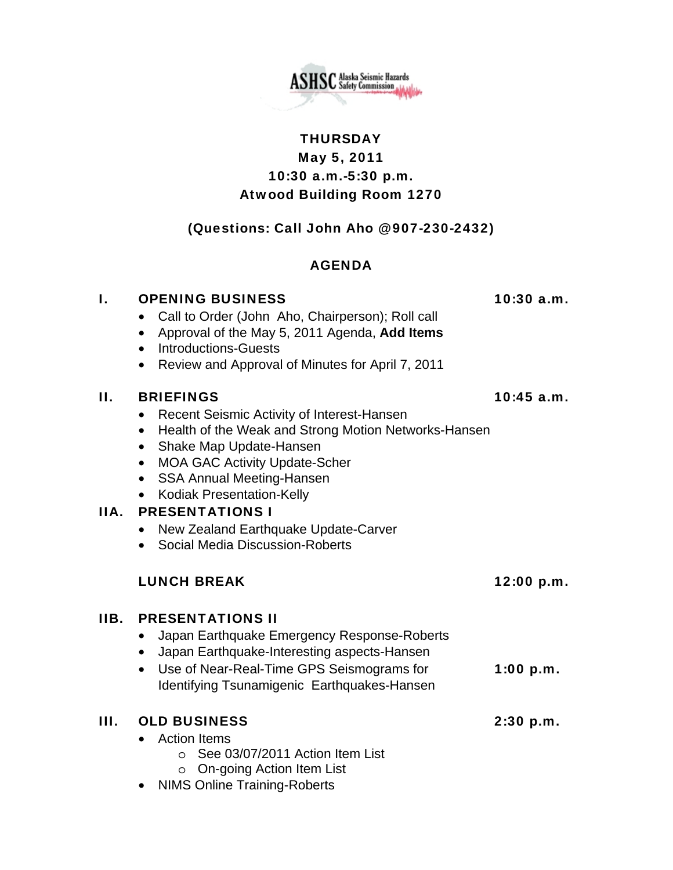**ASHSC** Alaska Seismic Hazards

# **THURSDAY** May 5, 2011 10:30 a.m.-5:30 p.m. Atwood Building Room 1270

## (Questions: Call John Aho @ 907-230-2432)

## AGENDA

### I. OPENING BUSINESS 10:30 a.m.

- Call to Order (John Aho, Chairperson); Roll call
- Approval of the May 5, 2011 Agenda, **Add Items**
- Introductions-Guests
- Review and Approval of Minutes for April 7, 2011

### II. BRIEFINGS 10:45 a.m.

- Recent Seismic Activity of Interest-Hansen
- Health of the Weak and Strong Motion Networks-Hansen
- Shake Map Update-Hansen
- MOA GAC Activity Update-Scher
- SSA Annual Meeting-Hansen
- Kodiak Presentation-Kelly

## IIA. PRESENTATIONS I

- New Zealand Earthquake Update-Carver
- Social Media Discussion-Roberts

## LUNCH BREAK 12:00 p.m.

## IIB. PRESENTATIONS II

- Japan Earthquake Emergency Response-Roberts
- Japan Earthquake-Interesting aspects-Hansen
- Use of Near-Real-Time GPS Seismograms for **1:00 p.m.** Identifying Tsunamigenic Earthquakes-Hansen

| III. OLD BUSINESS                       | $2:30$ p.m. |
|-----------------------------------------|-------------|
| • Action Items                          |             |
| $\circ$ See 03/07/2011 Action Item List |             |
| $\circ$ On-going Action Item List       |             |

• NIMS Online Training-Roberts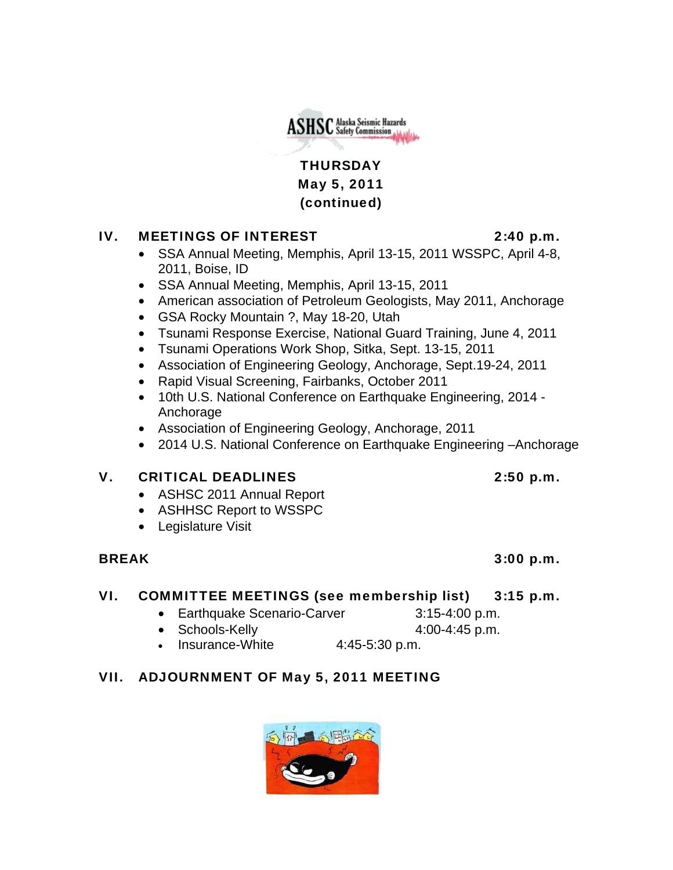THURSDAY May 5, 2011 (continued)

**ASHSC** Alaska Seismic Hazards

### IV. MEETINGS OF INTEREST 2:40 p.m.

- SSA Annual Meeting, Memphis, April 13-15, 2011 WSSPC, April 4-8, 2011, Boise, ID
- SSA Annual Meeting, Memphis, April 13-15, 2011
- American association of Petroleum Geologists, May 2011, Anchorage
- GSA Rocky Mountain ?, May 18-20, Utah
- Tsunami Response Exercise, National Guard Training, June 4, 2011
- Tsunami Operations Work Shop, Sitka, Sept. 13-15, 2011
- Association of Engineering Geology, Anchorage, Sept.19-24, 2011
- Rapid Visual Screening, Fairbanks, October 2011
- 10th U.S. National Conference on Earthquake Engineering, 2014 Anchorage
- Association of Engineering Geology, Anchorage, 2011
- 2014 U.S. National Conference on Earthquake Engineering –Anchorage

# V. CRITICAL DEADLINES 2:50 p.m.

- ASHSC 2011 Annual Report
- ASHHSC Report to WSSPC
- Legislature Visit

# BREAK 3:00 p.m.

# VI. COMMITTEE MEETINGS (see membership list) 3:15 p.m.

- Earthquake Scenario-Carver 3:15-4:00 p.m.
- Schools-Kelly 4:00-4:45 p.m.
- Insurance-White 4:45-5:30 p.m.

# VII. ADJOURNMENT OF May 5, 2011 MEETING



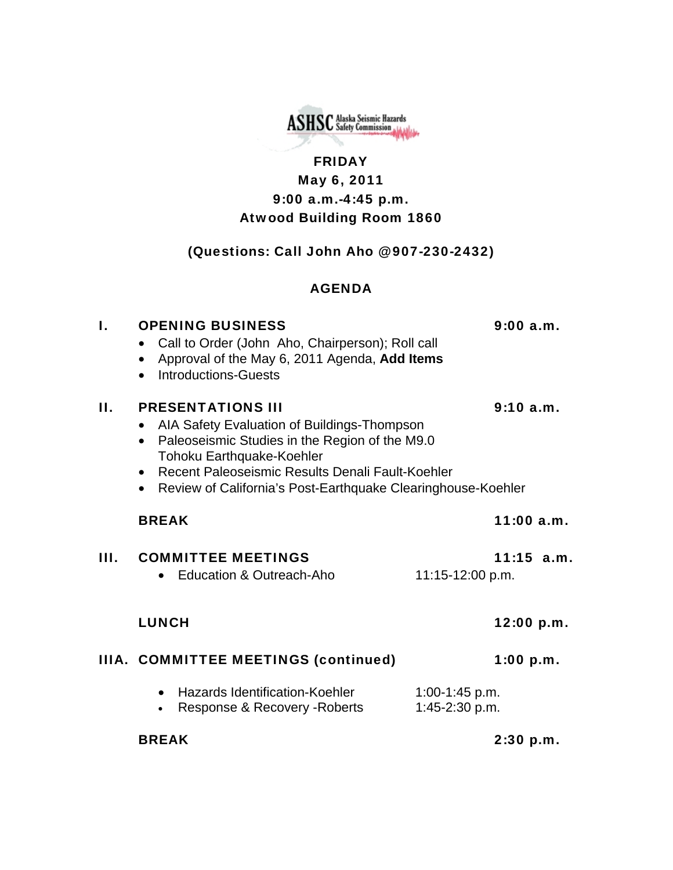

# FRIDAY May 6, 2011 9:00 a.m.-4:45 p.m. Atwood Building Room 1860

# (Questions: Call John Aho @ 907-230-2432)

### AGENDA

| L    | <b>OPENING BUSINESS</b><br>Call to Order (John Aho, Chairperson); Roll call<br>Approval of the May 6, 2011 Agenda, Add Items<br><b>Introductions-Guests</b>                                                                                                                                                   |                                  | 9:00a.m.     |
|------|---------------------------------------------------------------------------------------------------------------------------------------------------------------------------------------------------------------------------------------------------------------------------------------------------------------|----------------------------------|--------------|
| П.   | <b>PRESENTATIONS III</b><br>AIA Safety Evaluation of Buildings-Thompson<br>Paleoseismic Studies in the Region of the M9.0<br>$\bullet$<br><b>Tohoku Earthquake-Koehler</b><br>Recent Paleoseismic Results Denali Fault-Koehler<br>$\bullet$<br>• Review of California's Post-Earthquake Clearinghouse-Koehler |                                  | 9:10a.m.     |
|      | <b>BREAK</b>                                                                                                                                                                                                                                                                                                  |                                  | 11:00a.m.    |
| III. | <b>COMMITTEE MEETINGS</b><br>Education & Outreach-Aho                                                                                                                                                                                                                                                         | 11:15-12:00 p.m.                 | $11:15$ a.m. |
|      | <b>LUNCH</b>                                                                                                                                                                                                                                                                                                  |                                  | 12:00 p.m.   |
|      | IIIA. COMMITTEE MEETINGS (continued)                                                                                                                                                                                                                                                                          |                                  | $1:00$ p.m.  |
|      | Hazards Identification-Koehler<br>$\bullet$<br>Response & Recovery - Roberts<br>$\bullet$                                                                                                                                                                                                                     | 1:00-1:45 p.m.<br>1:45-2:30 p.m. |              |
|      | <b>BREAK</b>                                                                                                                                                                                                                                                                                                  |                                  | 2:30 p.m.    |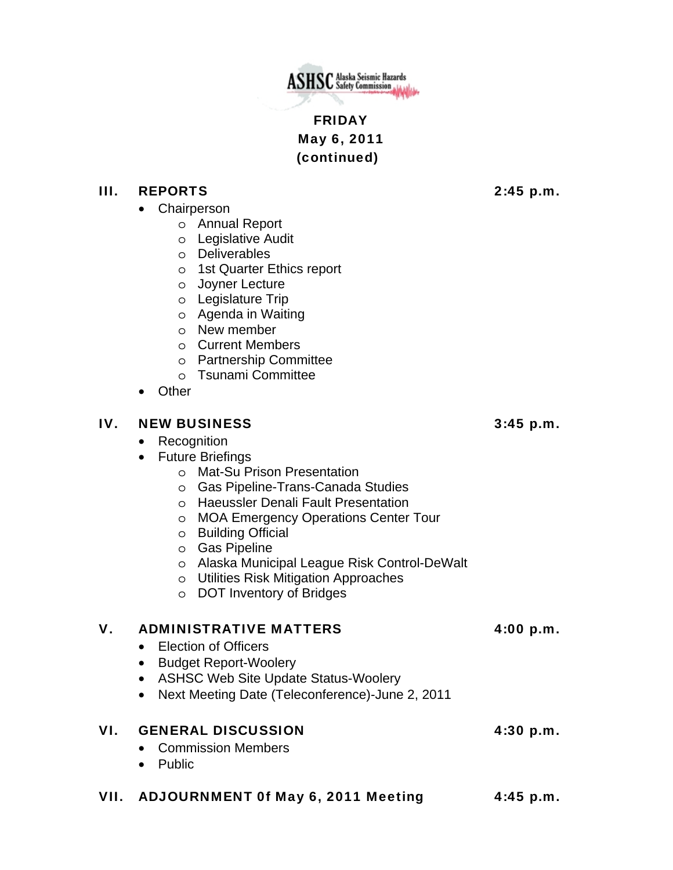

# FRIDAY May 6, 2011 (continued)

### III. REPORTS 2:45 p.m.

- Chairperson
	- o Annual Report
	- o Legislative Audit
	- o Deliverables
	- o 1st Quarter Ethics report
	- o Joyner Lecture
	- o Legislature Trip
	- o Agenda in Waiting
	- o New member
	- o Current Members
	- o Partnership Committee
	- o Tsunami Committee
- Other

### IV. NEW BUSINESS 3:45 p.m.

- Recognition
- Future Briefings
	- o Mat-Su Prison Presentation
	- o Gas Pipeline-Trans-Canada Studies
	- o Haeussler Denali Fault Presentation
	- o MOA Emergency Operations Center Tour
	- o Building Official
	- o Gas Pipeline
	- o Alaska Municipal League Risk Control-DeWalt
	- o Utilities Risk Mitigation Approaches
	- o DOT Inventory of Bridges

## V. ADMINISTRATIVE MATTERS 4:00 p.m.

- Election of Officers
- Budget Report-Woolery
- ASHSC Web Site Update Status-Woolery
- Next Meeting Date (Teleconference)-June 2, 2011

## VI. GENERAL DISCUSSION 4:30 p.m.

- Commission Members
- Public

## VII. ADJOURNMENT 0f May 6, 2011 Meeting 4:45 p.m.